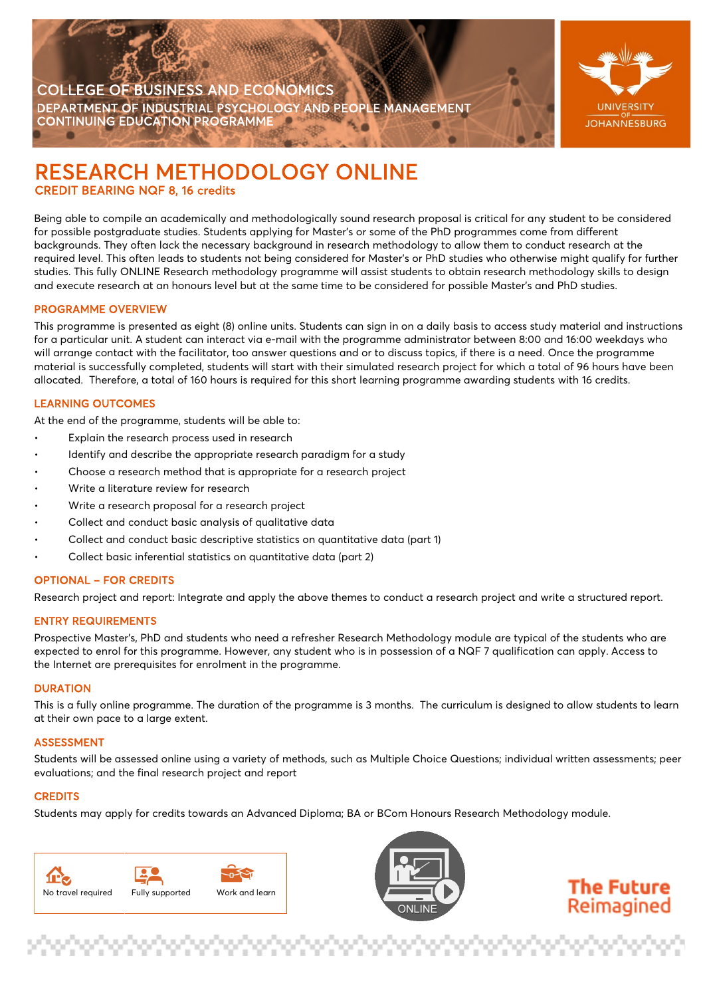



# RESEARCH METHODOLOGY ONLINE<br>CREDIT BEARING NQF 8, 16 credits

Being able to compile an academically and methodologically sound research proposal is critical for any student to be considered for possible postgraduate studies. Students applying for Master's or some of the PhD programmes come from different backgrounds. They often lack the necessary background in research methodology to allow them to conduct research at the  required level. This often leads to students not being considered for Master's or PhD studies who otherwise might qualify for further required level. This often leads to students not being considered for Master's or PhD studies who otherwise might qualify for furthe<br>studies. This fully ONLINE Research methodology programme will assist students to obtain and execute research at an honours level but at the same time to be considered for possible Master's and PhD studies.

#### PROGRAMME OVERVIEW

This programme is presented as eight (8) online units. Students can sign in on a daily basis to access study material and instructions for a particular unit. A student can interact via e-mail with the programme administrator between 8:00 and 16:00 weekdays who will arrange contact with the facilitator, too answer questions and or to discuss topics, if there is a need. Once the programme material is successfully completed, students will start with their simulated research project for which a total of 96 hours have been allocated. Therefore, a total of 160 hours is required for this short learning programme awarding students with 16 credits.

#### LEARNING OUTCOMES

At the end of the programme, students will be able to:

- Explain the research process used in research
- Identify and describe the appropriate research paradigm for a study
- Choose a research method that is appropriate for a research project
- Write a literature review for research
- Write a research proposal for a research project
- Collect and conduct basic analysis of qualitative data
- Collect and conduct basic descriptive statistics on quantitative data (part 1)
- Collect basic inferential statistics on quantitative data (part 2)

#### OPTIONAL – FOR CREDITS

Research project and report: Integrate and apply the above themes to conduct a research project and write a structured report.

#### ENTRY REQUIREMENTS

Prospective Master's, PhD and students who need a refresher Research Methodology module are typical of the students who are expected to enrol for this programme. However, any student who is in possession of a NQF 7 qualification can apply. Access to the Internet are prerequisites for enrolment in the programme.

#### **DURATION**

This is a fully online programme. The duration of the programme is 3 months. The curriculum is designed to allow students to learn at their own pace to a large extent.

#### ASSESSMENT

Students will be assessed online using a variety of methods, such as Multiple Choice Questions; individual written assessments; peer evaluations; and the final research project and report

#### **CREDITS**

Students may apply for credits towards an Advanced Diploma; BA or BCom Honours Research Methodology module.